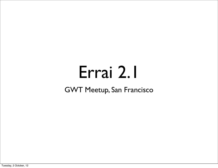## Errai 2.1

#### GWT Meetup, San Francisco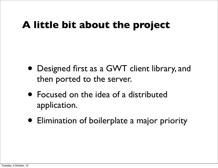#### **A little bit about the project**

- Designed first as a GWT client library, and then ported to the server.
- Focused on the idea of a distributed application.
- Elimination of boilerplate a major priority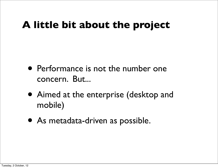#### **A little bit about the project**

- Performance is not the number one concern. But...
- Aimed at the enterprise (desktop and mobile)
- As metadata-driven as possible.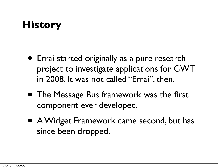### **History**

- Errai started originally as a pure research project to investigate applications for GWT in 2008. It was not called "Errai", then.
- The Message Bus framework was the first component ever developed.
- A Widget Framework came second, but has since been dropped.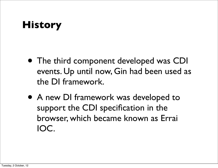### **History**

- The third component developed was CDI events. Up until now, Gin had been used as the DI framework.
- A new DI framework was developed to support the CDI specification in the browser, which became known as Errai IOC.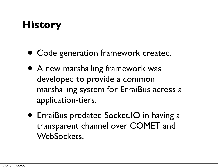#### **History**

- Code generation framework created.
- A new marshalling framework was developed to provide a common marshalling system for ErraiBus across all application-tiers.
- ErraiBus predated Socket.IO in having a transparent channel over COMET and WebSockets.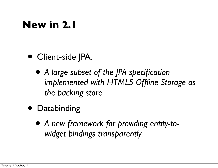#### **New in 2.1**

- Client-side JPA.
	- *• A large subset of the JPA specification implemented with HTML5 Offline Storage as the backing store.*
- Databinding
	- *• A new framework for providing entity-towidget bindings transparently.*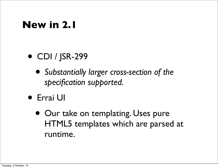#### **New in 2.1**

- CDI / JSR-299
	- *• Substantially larger cross-section of the specification supported.*
- Errai UI
	- Our take on templating. Uses pure HTML5 templates which are parsed at runtime.